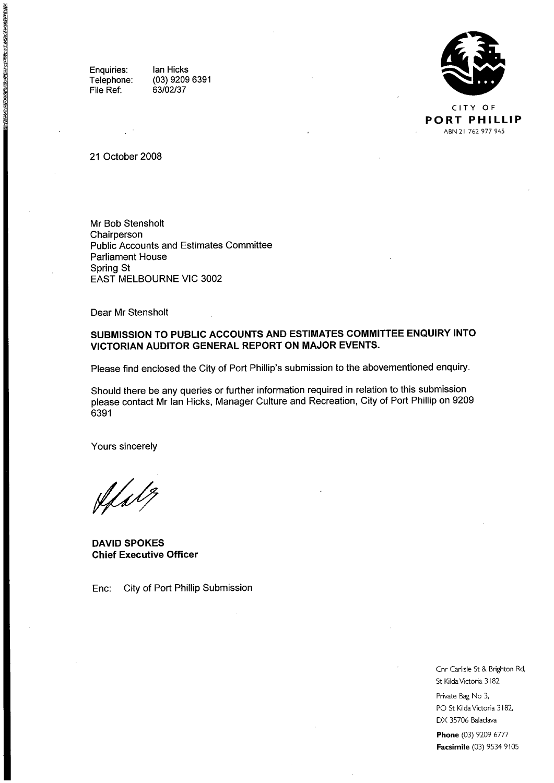Enquiries: Telephone: File Ref:

■ おんていたいかい あいまく あいかん かいこうかい かいこう かいじょう こうかん

Ian Hicks (03) 9209 6391



PORT PHILLIP ABN 21 762 977 945

#### 21 October 2008

Mr Bob Stensholt Chairperson Public Accounts and Estimates Committee Parliament House Spring St EAST MELBOURNE ViC 3002

Dear Mr Stensholt

#### SUBMISSION TO PUBLIC ACCOUNTS AND ESTIMATES COMMITTEE ENQUIRY INTO VICTORIAN AUDITOR GENERAL REPORT ON MAJOR EVENTS.

Please find enclosed the City of Port Phillip's submission to the abovementioned enquiry.

Should there be any queries or further information required in relation to this submission please contact Mr Ian Hicks, Manager Culture and Recreation, City of Port Phillip on 9209 6391

Yours sincerely

Afalt,

DAVID SPOKES Chief Executive Officer

Enc: City of Port Phillip Submission

Cnr Carlisle St & Brighton Rd, St Kilda Victoria 3182

Private Bag No 3, PO St Kilda Victoria 3182, DX 35706 Balaclava

**Phone** (03) 9209 6777 Facsimile (03) 9534 9105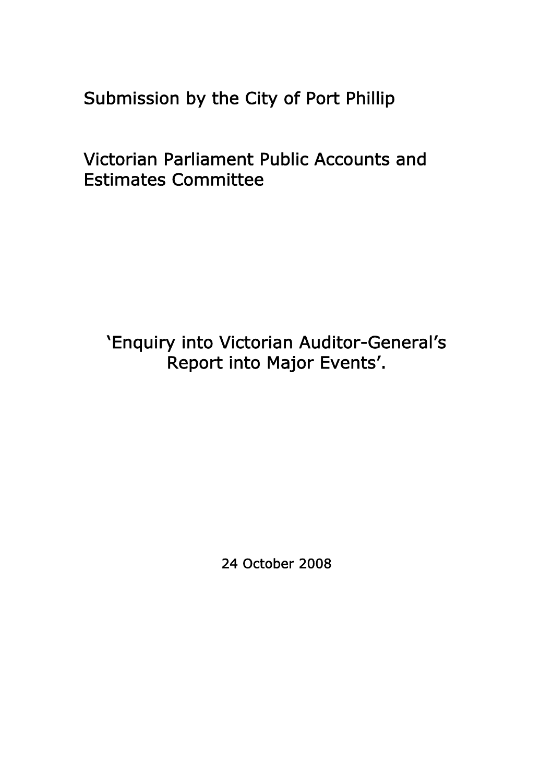Submission by the City of Port Phillip

Victorian Parliament Public Accounts and Estimates Committee

'Enquiry into Victorian Auditor-General's Report into Major Events'.

24 October 2008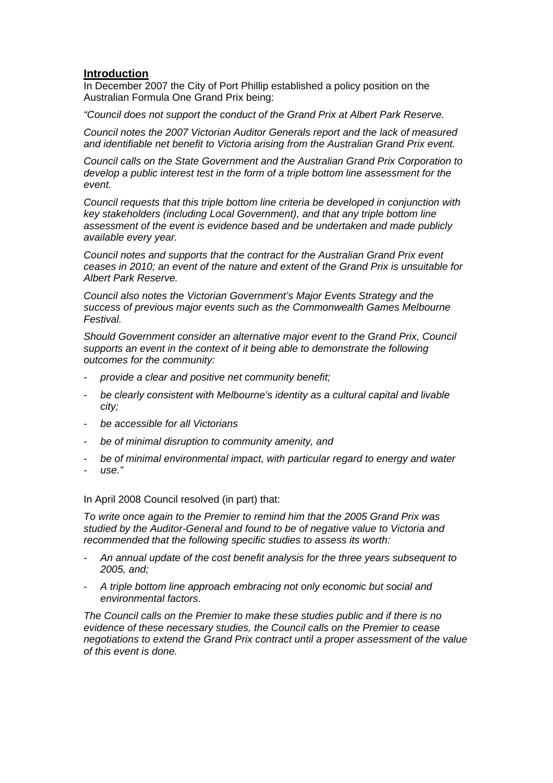## **Introduction**

In December 2007 the City of Port Phillip established a policy position on the Australian Formula One Grand Prix being:

*"Council does not support the conduct of the Grand Prix at Albert Park Reserve.* 

*Council notes the 2007 Victorian Auditor Generals report and the lack of measured and identifiable net benefit to Victoria arising from the Australian Grand Prix event.* 

*Council calls on the State Government and the Australian Grand Prix Corporation to develop a public interest test in the form of a triple bottom line assessment for the event.* 

*Council requests that this triple bottom line criteria be developed in conjunction with key stakeholders (including Local Government), and that any triple bottom line assessment of the event is evidence based and be undertaken and made publicly available every year.* 

*Council notes and supports that the contract for the Australian Grand Prix event ceases in 2010; an event of the nature and extent of the Grand Prix is unsuitable for Albert Park Reserve.* 

*Council also notes the Victorian Government's Major Events Strategy and the success of previous major events such as the Commonwealth Games Melbourne Festival.* 

*Should Government consider an alternative major event to the Grand Prix, Council supports an event in the context of it being able to demonstrate the following outcomes for the community:* 

- *provide a clear and positive net community benefit;*
- *be clearly consistent with Melbourne's identity as a cultural capital and livable city;*
- *be accessible for all Victorians*
- *be of minimal disruption to community amenity, and*
- *be of minimal environmental impact, with particular regard to energy and water*
- *use."*

In April 2008 Council resolved (in part) that:

*To write once again to the Premier to remind him that the 2005 Grand Prix was studied by the Auditor-General and found to be of negative value to Victoria and recommended that the following specific studies to assess its worth:* 

- *An annual update of the cost benefit analysis for the three years subsequent to 2005, and;*
- *A triple bottom line approach embracing not only economic but social and environmental factors.*

*The Council calls on the Premier to make these studies public and if there is no evidence of these necessary studies, the Council calls on the Premier to cease negotiations to extend the Grand Prix contract until a proper assessment of the value of this event is done.*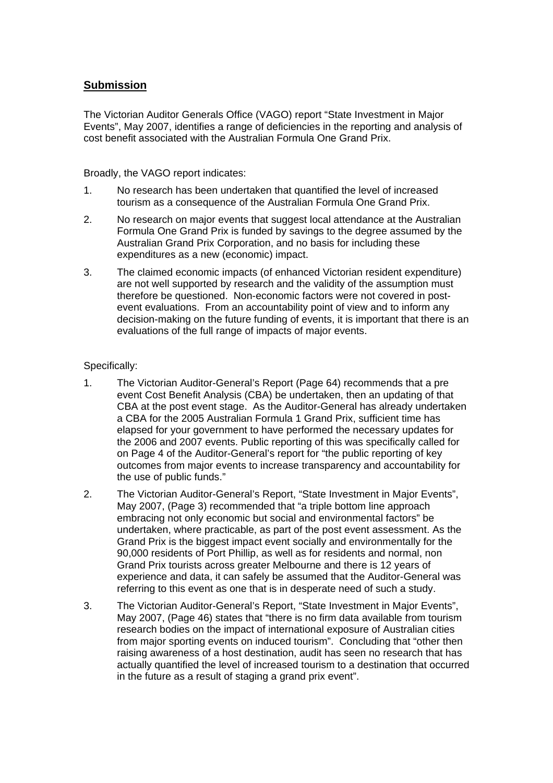# **Submission**

The Victorian Auditor Generals Office (VAGO) report "State Investment in Major Events", May 2007, identifies a range of deficiencies in the reporting and analysis of cost benefit associated with the Australian Formula One Grand Prix.

Broadly, the VAGO report indicates:

- 1. No research has been undertaken that quantified the level of increased tourism as a consequence of the Australian Formula One Grand Prix.
- 2. No research on major events that suggest local attendance at the Australian Formula One Grand Prix is funded by savings to the degree assumed by the Australian Grand Prix Corporation, and no basis for including these expenditures as a new (economic) impact.
- 3. The claimed economic impacts (of enhanced Victorian resident expenditure) are not well supported by research and the validity of the assumption must therefore be questioned. Non-economic factors were not covered in postevent evaluations. From an accountability point of view and to inform any decision-making on the future funding of events, it is important that there is an evaluations of the full range of impacts of major events.

## Specifically:

- 1. The Victorian Auditor-General's Report (Page 64) recommends that a pre event Cost Benefit Analysis (CBA) be undertaken, then an updating of that CBA at the post event stage. As the Auditor-General has already undertaken a CBA for the 2005 Australian Formula 1 Grand Prix, sufficient time has elapsed for your government to have performed the necessary updates for the 2006 and 2007 events. Public reporting of this was specifically called for on Page 4 of the Auditor-General's report for "the public reporting of key outcomes from major events to increase transparency and accountability for the use of public funds."
- 2. The Victorian Auditor-General's Report, "State Investment in Major Events", May 2007, (Page 3) recommended that "a triple bottom line approach embracing not only economic but social and environmental factors" be undertaken, where practicable, as part of the post event assessment. As the Grand Prix is the biggest impact event socially and environmentally for the 90,000 residents of Port Phillip, as well as for residents and normal, non Grand Prix tourists across greater Melbourne and there is 12 years of experience and data, it can safely be assumed that the Auditor-General was referring to this event as one that is in desperate need of such a study.
- 3. The Victorian Auditor-General's Report, "State Investment in Major Events", May 2007, (Page 46) states that "there is no firm data available from tourism research bodies on the impact of international exposure of Australian cities from major sporting events on induced tourism". Concluding that "other then raising awareness of a host destination, audit has seen no research that has actually quantified the level of increased tourism to a destination that occurred in the future as a result of staging a grand prix event".